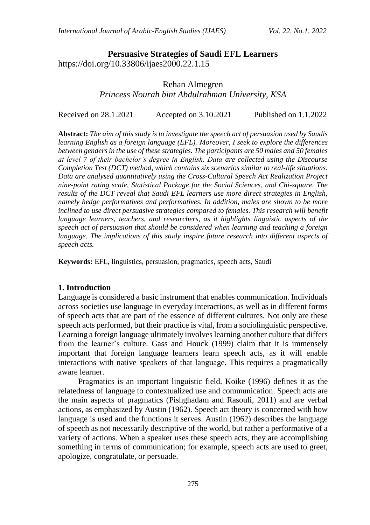## **Persuasive Strategies of Saudi EFL Learners** https://doi.org/10.33806/ijaes2000.22.1.15

## Rehan Almegren *Princess Nourah bint Abdulrahman University, KSA*

Received on 28.1.2021 Accepted on 3.10.2021 Published on 1.1.2022

**Abstract:** *The aim of this study is to investigate the speech act of persuasion used by Saudis learning English as a foreign language (EFL). Moreover, I seek to explore the differences between genders in the use of these strategies. The participants are 50 males and 50 females at level 7 of their bachelor's degree in English. Data are collected using the Discourse Completion Test (DCT) method, which contains six scenarios similar to real-life situations. Data are analysed quantitatively using the Cross-Cultural Speech Act Realization Project nine-point rating scale, Statistical Package for the Social Sciences, and Chi-square. The results of the DCT reveal that Saudi EFL learners use more direct strategies in English, namely hedge performatives and performatives. In addition, males are shown to be more inclined to use direct persuasive strategies compared to females. This research will benefit language learners, teachers, and researchers, as it highlights linguistic aspects of the speech act of persuasion that should be considered when learning and teaching a foreign language. The implications of this study inspire future research into different aspects of speech acts.*

**Keywords:** EFL, linguistics, persuasion, pragmatics, speech acts, Saudi

#### **1. Introduction**

Language is considered a basic instrument that enables communication. Individuals across societies use language in everyday interactions, as well as in different forms of speech acts that are part of the essence of different cultures. Not only are these speech acts performed, but their practice is vital, from a sociolinguistic perspective. Learning a foreign language ultimately involves learning another culture that differs from the learner's culture. Gass and Houck (1999) claim that it is immensely important that foreign language learners learn speech acts, as it will enable interactions with native speakers of that language. This requires a pragmatically aware learner.

Pragmatics is an important linguistic field. Koike (1996) defines it as the relatedness of language to contextualized use and communication. Speech acts are the main aspects of pragmatics (Pishghadam and Rasouli, 2011) and are verbal actions, as emphasized by Austin (1962). Speech act theory is concerned with how language is used and the functions it serves. Austin (1962) describes the language of speech as not necessarily descriptive of the world, but rather a performative of a variety of actions. When a speaker uses these speech acts, they are accomplishing something in terms of communication; for example, speech acts are used to greet, apologize, congratulate, or persuade.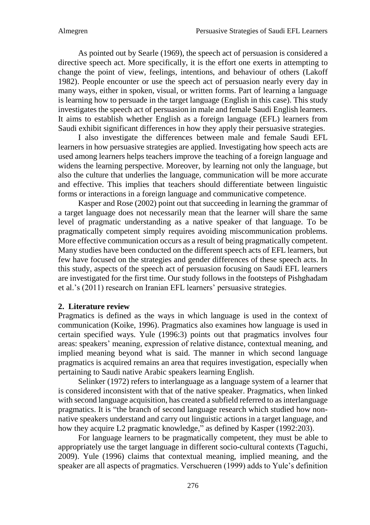As pointed out by Searle (1969), the speech act of persuasion is considered a directive speech act. More specifically, it is the effort one exerts in attempting to change the point of view, feelings, intentions, and behaviour of others (Lakoff 1982). People encounter or use the speech act of persuasion nearly every day in many ways, either in spoken, visual, or written forms. Part of learning a language is learning how to persuade in the target language (English in this case). This study investigates the speech act of persuasion in male and female Saudi English learners. It aims to establish whether English as a foreign language (EFL) learners from Saudi exhibit significant differences in how they apply their persuasive strategies.

I also investigate the differences between male and female Saudi EFL learners in how persuasive strategies are applied. Investigating how speech acts are used among learners helps teachers improve the teaching of a foreign language and widens the learning perspective. Moreover, by learning not only the language, but also the culture that underlies the language, communication will be more accurate and effective. This implies that teachers should differentiate between linguistic forms or interactions in a foreign language and communicative competence.

Kasper and Rose (2002) point out that succeeding in learning the grammar of a target language does not necessarily mean that the learner will share the same level of pragmatic understanding as a native speaker of that language. To be pragmatically competent simply requires avoiding miscommunication problems. More effective communication occurs as a result of being pragmatically competent. Many studies have been conducted on the different speech acts of EFL learners, but few have focused on the strategies and gender differences of these speech acts. In this study, aspects of the speech act of persuasion focusing on Saudi EFL learners are investigated for the first time. Our study follows in the footsteps of Pishghadam et al.'s (2011) research on Iranian EFL learners' persuasive strategies.

### **2. Literature review**

Pragmatics is defined as the ways in which language is used in the context of communication (Koike, 1996). Pragmatics also examines how language is used in certain specified ways. Yule (1996:3) points out that pragmatics involves four areas: speakers' meaning, expression of relative distance, contextual meaning, and implied meaning beyond what is said. The manner in which second language pragmatics is acquired remains an area that requires investigation, especially when pertaining to Saudi native Arabic speakers learning English.

Selinker (1972) refers to interlanguage as a language system of a learner that is considered inconsistent with that of the native speaker. Pragmatics, when linked with second language acquisition, has created a subfield referred to as interlanguage pragmatics. It is "the branch of second language research which studied how nonnative speakers understand and carry out linguistic actions in a target language, and how they acquire L2 pragmatic knowledge," as defined by Kasper (1992:203).

For language learners to be pragmatically competent, they must be able to appropriately use the target language in different socio-cultural contexts (Taguchi, 2009). Yule (1996) claims that contextual meaning, implied meaning, and the speaker are all aspects of pragmatics. Verschueren (1999) adds to Yule's definition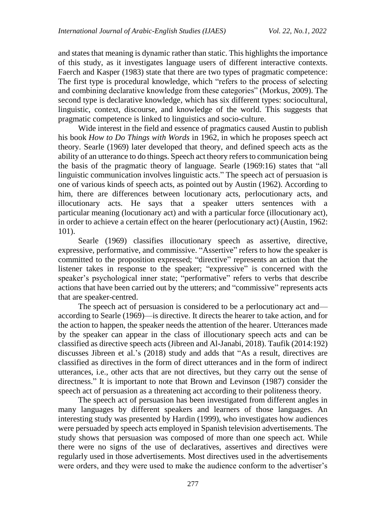and states that meaning is dynamic rather than static. This highlights the importance of this study, as it investigates language users of different interactive contexts. Faerch and Kasper (1983) state that there are two types of pragmatic competence: The first type is procedural knowledge, which "refers to the process of selecting and combining declarative knowledge from these categories" (Morkus, 2009). The second type is declarative knowledge, which has six different types: sociocultural, linguistic, context, discourse, and knowledge of the world. This suggests that pragmatic competence is linked to linguistics and socio-culture.

Wide interest in the field and essence of pragmatics caused Austin to publish his book *How to Do Things with Words* in 1962, in which he proposes speech act theory. Searle (1969) later developed that theory, and defined speech acts as the ability of an utterance to do things. Speech act theory refers to communication being the basis of the pragmatic theory of language. Searle (1969:16) states that "all linguistic communication involves linguistic acts." The speech act of persuasion is one of various kinds of speech acts, as pointed out by Austin (1962). According to him, there are differences between locutionary acts, perlocutionary acts, and illocutionary acts. He says that a speaker utters sentences with a particular meaning (locutionary act) and with a particular force (illocutionary act), in order to achieve a certain effect on the hearer (perlocutionary act) (Austin, 1962: 101).

Searle (1969) classifies illocutionary speech as assertive, directive, expressive, performative, and commissive. "Assertive" refers to how the speaker is committed to the proposition expressed; "directive" represents an action that the listener takes in response to the speaker; "expressive" is concerned with the speaker's psychological inner state; "performative" refers to verbs that describe actions that have been carried out by the utterers; and "commissive" represents acts that are speaker-centred.

The speech act of persuasion is considered to be a perlocutionary act and according to Searle (1969)—is directive. It directs the hearer to take action, and for the action to happen, the speaker needs the attention of the hearer. Utterances made by the speaker can appear in the class of illocutionary speech acts and can be classified as directive speech acts (Jibreen and Al-Janabi, 2018). Taufik (2014:192) discusses Jibreen et al.'s (2018) study and adds that "As a result, directives are classified as directives in the form of direct utterances and in the form of indirect utterances, i.e., other acts that are not directives, but they carry out the sense of directness." It is important to note that Brown and Levinson (1987) consider the speech act of persuasion as a threatening act according to their politeness theory.

The speech act of persuasion has been investigated from different angles in many languages by different speakers and learners of those languages. An interesting study was presented by Hardin (1999), who investigates how audiences were persuaded by speech acts employed in Spanish television advertisements. The study shows that persuasion was composed of more than one speech act. While there were no signs of the use of declaratives, assertives and directives were regularly used in those advertisements. Most directives used in the advertisements were orders, and they were used to make the audience conform to the advertiser's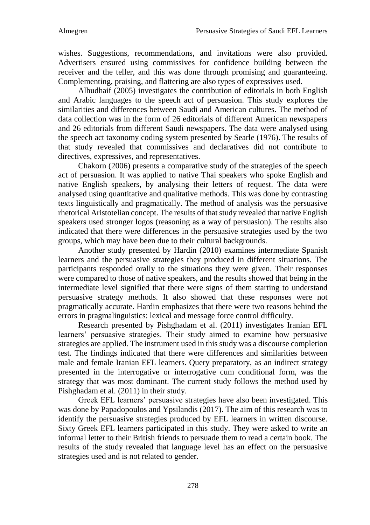wishes. Suggestions, recommendations, and invitations were also provided. Advertisers ensured using commissives for confidence building between the receiver and the teller, and this was done through promising and guaranteeing. Complementing, praising, and flattering are also types of expressives used.

Alhudhaif (2005) investigates the contribution of editorials in both English and Arabic languages to the speech act of persuasion. This study explores the similarities and differences between Saudi and American cultures. The method of data collection was in the form of 26 editorials of different American newspapers and 26 editorials from different Saudi newspapers. The data were analysed using the speech act taxonomy coding system presented by Searle (1976). The results of that study revealed that commissives and declaratives did not contribute to directives, expressives, and representatives.

Chakorn (2006) presents a comparative study of the strategies of the speech act of persuasion. It was applied to native Thai speakers who spoke English and native English speakers, by analysing their letters of request. The data were analysed using quantitative and qualitative methods. This was done by contrasting texts linguistically and pragmatically. The method of analysis was the persuasive rhetorical Aristotelian concept. The results of that study revealed that native English speakers used stronger logos (reasoning as a way of persuasion). The results also indicated that there were differences in the persuasive strategies used by the two groups, which may have been due to their cultural backgrounds.

Another study presented by Hardin (2010) examines intermediate Spanish learners and the persuasive strategies they produced in different situations. The participants responded orally to the situations they were given. Their responses were compared to those of native speakers, and the results showed that being in the intermediate level signified that there were signs of them starting to understand persuasive strategy methods. It also showed that these responses were not pragmatically accurate. Hardin emphasizes that there were two reasons behind the errors in pragmalinguistics: lexical and message force control difficulty.

Research presented by Pishghadam et al. (2011) investigates Iranian EFL learners' persuasive strategies. Their study aimed to examine how persuasive strategies are applied. The instrument used in this study was a discourse completion test. The findings indicated that there were differences and similarities between male and female Iranian EFL learners. Query preparatory, as an indirect strategy presented in the interrogative or interrogative cum conditional form, was the strategy that was most dominant. The current study follows the method used by Pishghadam et al. (2011) in their study.

Greek EFL learners' persuasive strategies have also been investigated. This was done by Papadopoulos and Ypsilandis (2017). The aim of this research was to identify the persuasive strategies produced by EFL learners in written discourse. Sixty Greek EFL learners participated in this study. They were asked to write an informal letter to their British friends to persuade them to read a certain book. The results of the study revealed that language level has an effect on the persuasive strategies used and is not related to gender.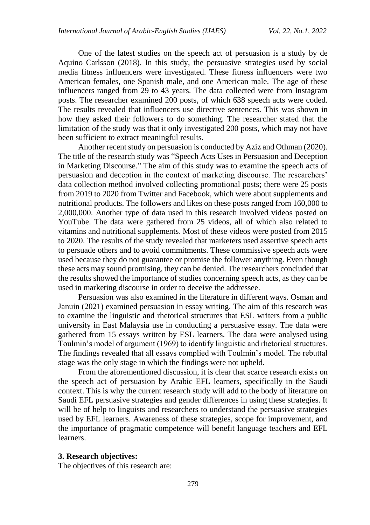One of the latest studies on the speech act of persuasion is a study by de Aquino Carlsson (2018). In this study, the persuasive strategies used by social media fitness influencers were investigated. These fitness influencers were two American females, one Spanish male, and one American male. The age of these influencers ranged from 29 to 43 years. The data collected were from Instagram posts. The researcher examined 200 posts, of which 638 speech acts were coded. The results revealed that influencers use directive sentences. This was shown in how they asked their followers to do something. The researcher stated that the limitation of the study was that it only investigated 200 posts, which may not have been sufficient to extract meaningful results.

Another recent study on persuasion is conducted by Aziz and Othman (2020). The title of the research study was "Speech Acts Uses in Persuasion and Deception in Marketing Discourse." The aim of this study was to examine the speech acts of persuasion and deception in the context of marketing discourse. The researchers' data collection method involved collecting promotional posts; there were 25 posts from 2019 to 2020 from Twitter and Facebook, which were about supplements and nutritional products. The followers and likes on these posts ranged from 160,000 to 2,000,000. Another type of data used in this research involved videos posted on YouTube. The data were gathered from 25 videos, all of which also related to vitamins and nutritional supplements. Most of these videos were posted from 2015 to 2020. The results of the study revealed that marketers used assertive speech acts to persuade others and to avoid commitments. These commissive speech acts were used because they do not guarantee or promise the follower anything. Even though these acts may sound promising, they can be denied. The researchers concluded that the results showed the importance of studies concerning speech acts, as they can be used in marketing discourse in order to deceive the addressee.

Persuasion was also examined in the literature in different ways. Osman and Januin (2021) examined persuasion in essay writing. The aim of this research was to examine the linguistic and rhetorical structures that ESL writers from a public university in East Malaysia use in conducting a persuasive essay. The data were gathered from 15 essays written by ESL learners. The data were analysed using Toulmin's model of argument (1969) to identify linguistic and rhetorical structures. The findings revealed that all essays complied with Toulmin's model. The rebuttal stage was the only stage in which the findings were not upheld.

From the aforementioned discussion, it is clear that scarce research exists on the speech act of persuasion by Arabic EFL learners, specifically in the Saudi context. This is why the current research study will add to the body of literature on Saudi EFL persuasive strategies and gender differences in using these strategies. It will be of help to linguists and researchers to understand the persuasive strategies used by EFL learners. Awareness of these strategies, scope for improvement, and the importance of pragmatic competence will benefit language teachers and EFL learners.

#### **3. Research objectives:**

The objectives of this research are: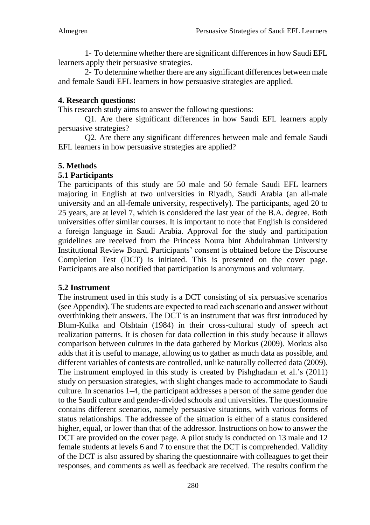1- To determine whether there are significant differences in how Saudi EFL learners apply their persuasive strategies.

2- To determine whether there are any significant differences between male and female Saudi EFL learners in how persuasive strategies are applied.

## **4. Research questions:**

This research study aims to answer the following questions:

Q1. Are there significant differences in how Saudi EFL learners apply persuasive strategies?

Q2. Are there any significant differences between male and female Saudi EFL learners in how persuasive strategies are applied?

## **5. Methods**

## **5.1 Participants**

The participants of this study are 50 male and 50 female Saudi EFL learners majoring in English at two universities in Riyadh, Saudi Arabia (an all-male university and an all-female university, respectively). The participants, aged 20 to 25 years, are at level 7, which is considered the last year of the B.A. degree. Both universities offer similar courses. It is important to note that English is considered a foreign language in Saudi Arabia. Approval for the study and participation guidelines are received from the Princess Noura bint Abdulrahman University Institutional Review Board. Participants' consent is obtained before the Discourse Completion Test (DCT) is initiated. This is presented on the cover page. Participants are also notified that participation is anonymous and voluntary.

## **5.2 Instrument**

The instrument used in this study is a DCT consisting of six persuasive scenarios (see Appendix). The students are expected to read each scenario and answer without overthinking their answers. The DCT is an instrument that was first introduced by Blum-Kulka and Olshtain (1984) in their cross-cultural study of speech act realization patterns. It is chosen for data collection in this study because it allows comparison between cultures in the data gathered by Morkus (2009). Morkus also adds that it is useful to manage, allowing us to gather as much data as possible, and different variables of contests are controlled, unlike naturally collected data (2009). The instrument employed in this study is created by Pishghadam et al.'s (2011) study on persuasion strategies, with slight changes made to accommodate to Saudi culture. In scenarios 1–4, the participant addresses a person of the same gender due to the Saudi culture and gender-divided schools and universities. The questionnaire contains different scenarios, namely persuasive situations, with various forms of status relationships. The addressee of the situation is either of a status considered higher, equal, or lower than that of the addressor. Instructions on how to answer the DCT are provided on the cover page. A pilot study is conducted on 13 male and 12 female students at levels 6 and 7 to ensure that the DCT is comprehended. Validity of the DCT is also assured by sharing the questionnaire with colleagues to get their responses, and comments as well as feedback are received. The results confirm the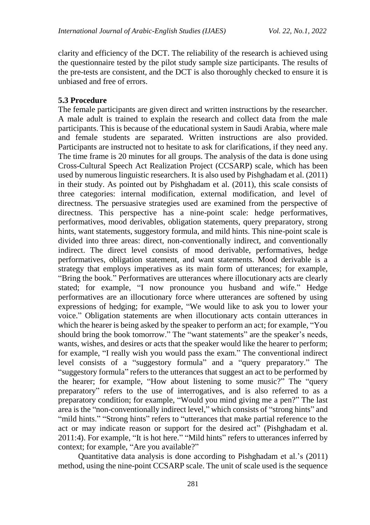clarity and efficiency of the DCT. The reliability of the research is achieved using the questionnaire tested by the pilot study sample size participants. The results of the pre-tests are consistent, and the DCT is also thoroughly checked to ensure it is unbiased and free of errors.

### **5.3 Procedure**

The female participants are given direct and written instructions by the researcher. A male adult is trained to explain the research and collect data from the male participants. This is because of the educational system in Saudi Arabia, where male and female students are separated. Written instructions are also provided. Participants are instructed not to hesitate to ask for clarifications, if they need any. The time frame is 20 minutes for all groups. The analysis of the data is done using Cross-Cultural Speech Act Realization Project (CCSARP) scale, which has been used by numerous linguistic researchers. It is also used by Pishghadam et al. (2011) in their study. As pointed out by Pishghadam et al. (2011), this scale consists of three categories: internal modification, external modification, and level of directness. The persuasive strategies used are examined from the perspective of directness. This perspective has a nine-point scale: hedge performatives, performatives, mood derivables, obligation statements, query preparatory, strong hints, want statements, suggestory formula, and mild hints. This nine-point scale is divided into three areas: direct, non-conventionally indirect, and conventionally indirect. The direct level consists of mood derivable, performatives, hedge performatives, obligation statement, and want statements. Mood derivable is a strategy that employs imperatives as its main form of utterances; for example, "Bring the book." Performatives are utterances where illocutionary acts are clearly stated; for example, "I now pronounce you husband and wife." Hedge performatives are an illocutionary force where utterances are softened by using expressions of hedging; for example, "We would like to ask you to lower your voice." Obligation statements are when illocutionary acts contain utterances in which the hearer is being asked by the speaker to perform an act; for example, "You should bring the book tomorrow." The "want statements" are the speaker's needs, wants, wishes, and desires or acts that the speaker would like the hearer to perform; for example, "I really wish you would pass the exam." The conventional indirect level consists of a "suggestory formula" and a "query preparatory." The "suggestory formula" refers to the utterances that suggest an act to be performed by the hearer; for example, "How about listening to some music?" The "query preparatory" refers to the use of interrogatives, and is also referred to as a preparatory condition; for example, "Would you mind giving me a pen?" The last area is the "non-conventionally indirect level," which consists of "strong hints" and "mild hints." "Strong hints" refers to "utterances that make partial reference to the act or may indicate reason or support for the desired act" (Pishghadam et al. 2011:4). For example, "It is hot here." "Mild hints" refers to utterances inferred by context; for example, "Are you available?"

Quantitative data analysis is done according to Pishghadam et al.'s (2011) method, using the nine-point CCSARP scale. The unit of scale used is the sequence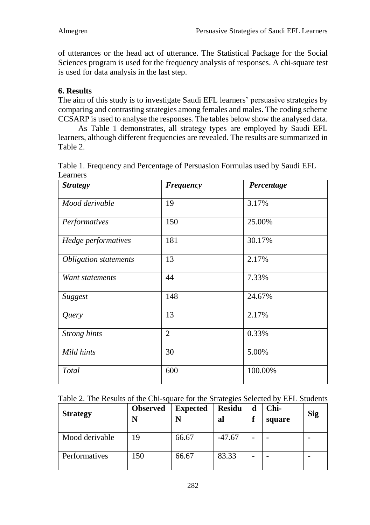of utterances or the head act of utterance. The Statistical Package for the Social Sciences program is used for the frequency analysis of responses. A chi-square test is used for data analysis in the last step.

# **6. Results**

The aim of this study is to investigate Saudi EFL learners' persuasive strategies by comparing and contrasting strategies among females and males. The coding scheme CCSARP is used to analyse the responses. The tables below show the analysed data.

As Table 1 demonstrates, all strategy types are employed by Saudi EFL learners, although different frequencies are revealed. The results are summarized in Table 2.

| <b>Strategy</b>              | <b>Frequency</b> | Percentage |
|------------------------------|------------------|------------|
| Mood derivable               | 19               | 3.17%      |
| Performatives                | 150              | 25.00%     |
| Hedge performatives          | 181              | 30.17%     |
| <b>Obligation statements</b> | 13               | 2.17%      |
| Want statements              | 44               | 7.33%      |
| Suggest                      | 148              | 24.67%     |
| Query                        | 13               | 2.17%      |
| <b>Strong</b> hints          | $\overline{2}$   | 0.33%      |
| Mild hints                   | 30               | 5.00%      |
| Total                        | 600              | 100.00%    |

Table 1. Frequency and Percentage of Persuasion Formulas used by Saudi EFL Learners

|  |  |  | Table 2. The Results of the Chi-square for the Strategies Selected by EFL Students |  |
|--|--|--|------------------------------------------------------------------------------------|--|
|  |  |  |                                                                                    |  |

| <b>Strategy</b> | <b>Observed</b> | <b>Expected</b> | <b>Residu</b><br>al | d<br>P | Chi-<br>square | Sig |
|-----------------|-----------------|-----------------|---------------------|--------|----------------|-----|
| Mood derivable  | 19              | 66.67           | $-47.67$            |        |                |     |
| Performatives   | 150             | 66.67           | 83.33               | -      |                |     |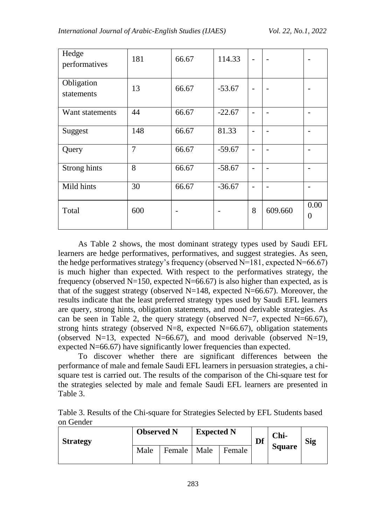| Hedge<br>performatives   | 181            | 66.67 | 114.33   |   |         |                  |
|--------------------------|----------------|-------|----------|---|---------|------------------|
| Obligation<br>statements | 13             | 66.67 | $-53.67$ |   |         |                  |
| Want statements          | 44             | 66.67 | $-22.67$ |   |         |                  |
| Suggest                  | 148            | 66.67 | 81.33    |   |         |                  |
| Query                    | $\overline{7}$ | 66.67 | $-59.67$ |   |         |                  |
| Strong hints             | 8              | 66.67 | $-58.67$ |   |         |                  |
| Mild hints               | 30             | 66.67 | $-36.67$ |   |         |                  |
| Total                    | 600            |       |          | 8 | 609.660 | 0.00<br>$\theta$ |

As Table 2 shows, the most dominant strategy types used by Saudi EFL learners are hedge performatives, performatives, and suggest strategies. As seen, the hedge performatives strategy's frequency (observed N=181, expected N=66.67) is much higher than expected. With respect to the performatives strategy, the frequency (observed  $N=150$ , expected  $N=66.67$ ) is also higher than expected, as is that of the suggest strategy (observed  $N=148$ , expected  $N=66.67$ ). Moreover, the results indicate that the least preferred strategy types used by Saudi EFL learners are query, strong hints, obligation statements, and mood derivable strategies. As can be seen in Table 2, the query strategy (observed  $N=7$ , expected  $N=66.67$ ), strong hints strategy (observed  $N=8$ , expected  $N=66.67$ ), obligation statements (observed N=13, expected N=66.67), and mood derivable (observed N=19, expected N=66.67) have significantly lower frequencies than expected.

To discover whether there are significant differences between the performance of male and female Saudi EFL learners in persuasion strategies, a chisquare test is carried out. The results of the comparison of the Chi-square test for the strategies selected by male and female Saudi EFL learners are presented in Table 3.

Table 3. Results of the Chi-square for Strategies Selected by EFL Students based on Gender

| <b>Strategy</b> | <b>Observed N</b> |        | <b>Expected N</b> |        | Df | Chi-          | <b>Sig</b> |
|-----------------|-------------------|--------|-------------------|--------|----|---------------|------------|
|                 | Male              | Female | Male              | Female |    | <b>Square</b> |            |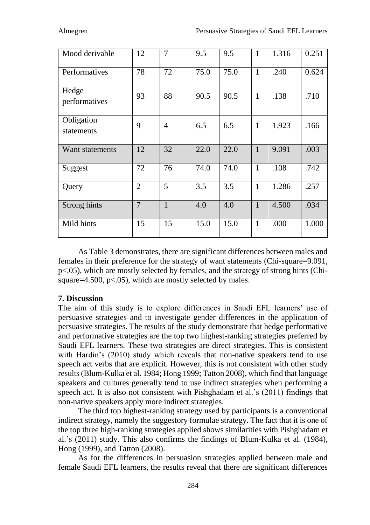| Mood derivable           | 12             | 7            | 9.5  | 9.5  | 1            | 1.316 | 0.251 |
|--------------------------|----------------|--------------|------|------|--------------|-------|-------|
| Performatives            | 78             | 72           | 75.0 | 75.0 | 1            | .240  | 0.624 |
| Hedge<br>performatives   | 93             | 88           | 90.5 | 90.5 | 1            | .138  | .710  |
| Obligation<br>statements | 9              | 4            | 6.5  | 6.5  | 1            | 1.923 | .166  |
| Want statements          | 12             | 32           | 22.0 | 22.0 | $\mathbf{1}$ | 9.091 | .003  |
| Suggest                  | 72             | 76           | 74.0 | 74.0 | 1            | .108  | .742  |
| Query                    | $\overline{2}$ | 5            | 3.5  | 3.5  | 1            | 1.286 | .257  |
| Strong hints             | $\overline{7}$ | $\mathbf{1}$ | 4.0  | 4.0  | $\mathbf{1}$ | 4.500 | .034  |
| Mild hints               | 15             | 15           | 15.0 | 15.0 | 1            | .000  | 1.000 |

As Table 3 demonstrates, there are significant differences between males and females in their preference for the strategy of want statements (Chi-square=9.091, p<.05), which are mostly selected by females, and the strategy of strong hints (Chisquare=4.500, p<.05), which are mostly selected by males.

# **7. Discussion**

The aim of this study is to explore differences in Saudi EFL learners' use of persuasive strategies and to investigate gender differences in the application of persuasive strategies. The results of the study demonstrate that hedge performative and performative strategies are the top two highest-ranking strategies preferred by Saudi EFL learners. These two strategies are direct strategies. This is consistent with Hardin's (2010) study which reveals that non-native speakers tend to use speech act verbs that are explicit. However, this is not consistent with other study results (Blum-Kulka et al. 1984; Hong 1999; Tatton 2008), which find that language speakers and cultures generally tend to use indirect strategies when performing a speech act. It is also not consistent with Pishghadam et al.'s (2011) findings that non-native speakers apply more indirect strategies.

The third top highest-ranking strategy used by participants is a conventional indirect strategy, namely the suggestory formulae strategy. The fact that it is one of the top three high-ranking strategies applied shows similarities with Pishghadam et al.'s (2011) study. This also confirms the findings of Blum-Kulka et al. (1984), Hong (1999), and Tatton (2008).

As for the differences in persuasion strategies applied between male and female Saudi EFL learners, the results reveal that there are significant differences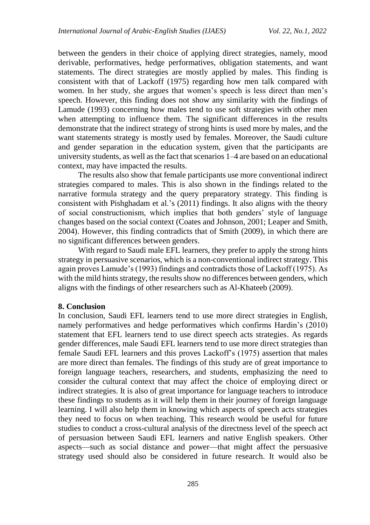between the genders in their choice of applying direct strategies, namely, mood derivable, performatives, hedge performatives, obligation statements, and want statements. The direct strategies are mostly applied by males. This finding is consistent with that of Lackoff (1975) regarding how men talk compared with women. In her study, she argues that women's speech is less direct than men's speech. However, this finding does not show any similarity with the findings of Lamude (1993) concerning how males tend to use soft strategies with other men when attempting to influence them. The significant differences in the results demonstrate that the indirect strategy of strong hints is used more by males, and the want statements strategy is mostly used by females. Moreover, the Saudi culture and gender separation in the education system, given that the participants are university students, as well as the fact that scenarios 1–4 are based on an educational context, may have impacted the results.

The results also show that female participants use more conventional indirect strategies compared to males. This is also shown in the findings related to the narrative formula strategy and the query preparatory strategy. This finding is consistent with Pishghadam et al.'s (2011) findings. It also aligns with the theory of social constructionism, which implies that both genders' style of language changes based on the social context (Coates and Johnson, 2001; Leaper and Smith, 2004). However, this finding contradicts that of Smith (2009), in which there are no significant differences between genders.

With regard to Saudi male EFL learners, they prefer to apply the strong hints strategy in persuasive scenarios, which is a non-conventional indirect strategy. This again proves Lamude's (1993) findings and contradicts those of Lackoff (1975). As with the mild hints strategy, the results show no differences between genders, which aligns with the findings of other researchers such as Al-Khateeb (2009).

#### **8. Conclusion**

In conclusion, Saudi EFL learners tend to use more direct strategies in English, namely performatives and hedge performatives which confirms Hardin's (2010) statement that EFL learners tend to use direct speech acts strategies. As regards gender differences, male Saudi EFL learners tend to use more direct strategies than female Saudi EFL learners and this proves Lackoff's (1975) assertion that males are more direct than females. The findings of this study are of great importance to foreign language teachers, researchers, and students, emphasizing the need to consider the cultural context that may affect the choice of employing direct or indirect strategies. It is also of great importance for language teachers to introduce these findings to students as it will help them in their journey of foreign language learning. I will also help them in knowing which aspects of speech acts strategies they need to focus on when teaching. This research would be useful for future studies to conduct a cross-cultural analysis of the directness level of the speech act of persuasion between Saudi EFL learners and native English speakers. Other aspects—such as social distance and power—that might affect the persuasive strategy used should also be considered in future research. It would also be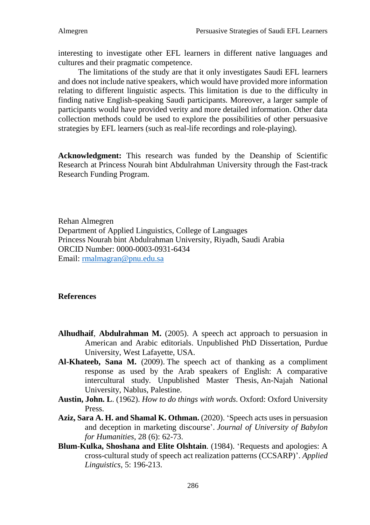interesting to investigate other EFL learners in different native languages and cultures and their pragmatic competence.

The limitations of the study are that it only investigates Saudi EFL learners and does not include native speakers, which would have provided more information relating to different linguistic aspects. This limitation is due to the difficulty in finding native English-speaking Saudi participants. Moreover, a larger sample of participants would have provided verity and more detailed information. Other data collection methods could be used to explore the possibilities of other persuasive strategies by EFL learners (such as real-life recordings and role-playing).

**Acknowledgment:** This research was funded by the Deanship of Scientific Research at Princess Nourah bint Abdulrahman University through the Fast-track Research Funding Program.

Rehan Almegren Department of Applied Linguistics, College of Languages Princess Nourah bint Abdulrahman University, Riyadh, Saudi Arabia ORCID Number: 0000-0003-0931-6434 Email: [rmalmagran@pnu.edu.sa](mailto:rmalmagran@pnu.edu.sa)

### **References**

- **Alhudhaif**, **Abdulrahman M.** (2005). A speech act approach to persuasion in American and Arabic editorials. Unpublished PhD Dissertation, Purdue University, West Lafayette, USA.
- **Al-Khateeb, Sana M.** (2009). The speech act of thanking as a compliment response as used by the Arab speakers of English: A comparative intercultural study*.* Unpublished Master Thesis, An-Najah National University, Nablus, Palestine.
- **Austin, John. L**. (1962). *How to do things with words*. Oxford: Oxford University Press.
- **Aziz, Sara A. H. and Shamal K. Othman.** (2020). 'Speech acts uses in persuasion and deception in marketing discourse'. *Journal of University of Babylon for Humanities*, 28 (6): 62-73.
- **Blum-Kulka, Shoshana and Elite Olshtain**. (1984). 'Requests and apologies: A cross-cultural study of speech act realization patterns (CCSARP)'. *Applied Linguistics*, 5: 196-213.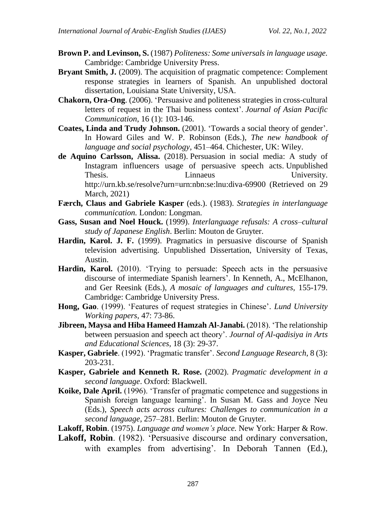- **Brown P. and Levinson, S.** (1987) *Politeness: Some universals in language usage.*  Cambridge: Cambridge University Press.
- **Bryant Smith, J.** (2009). The acquisition of pragmatic competence: Complement response strategies in learners of Spanish. An unpublished doctoral dissertation, Louisiana State University, USA.
- **Chakorn, Ora-Ong**. (2006). 'Persuasive and politeness strategies in cross-cultural letters of request in the Thai business context'. *Journal of Asian Pacific Communication*, 16 (1): 103-146.
- **Coates, Linda and Trudy Johnson.** (2001). 'Towards a social theory of gender'. In Howard Giles and W. P. Robinson (Eds.), *The new handbook of language and social psychology,* 451–464. Chichester, UK: Wiley.
- **de Aquino Carlsson, Alissa.** (2018). Persuasion in social media: A study of Instagram influencers usage of persuasive speech acts. Unpublished Thesis. Linnaeus University. http://urn.kb.se/resolve?urn=urn:nbn:se:lnu:diva-69900 (Retrieved on 29 March, 2021)
- **Færch, Claus and Gabriele Kasper** (eds.). (1983). *Strategies in interlanguage communication.* London: Longman.
- **Gass, Susan and Noel Houck.** (1999). *Interlanguage refusals: A cross–cultural study of Japanese English*. Berlin: Mouton de Gruyter.
- **Hardin, Karol. J. F.** (1999). Pragmatics in persuasive discourse of Spanish television advertising. Unpublished Dissertation, University of Texas, Austin.
- **Hardin, Karol.** (2010). 'Trying to persuade: Speech acts in the persuasive discourse of intermediate Spanish learners'. In Kenneth, A., McElhanon, and Ger Reesink (Eds.), *A mosaic of languages and cultures,* 155-179. Cambridge: Cambridge University Press.
- **Hong, Gao**. (1999). 'Features of request strategies in Chinese'*. Lund University Working papers*, 47: 73-86.
- **Jibreen, Maysa and Hiba Hameed Hamzah Al-Janabi.** (2018). 'The relationship between persuasion and speech act theory'. *Journal of Al-qadisiya in Arts and Educational Sciences*, 18 (3): 29-37.
- **Kasper, Gabriele**. (1992). 'Pragmatic transfer'. *Second Language Research*, 8 (3): 203-231.
- **Kasper, Gabriele and Kenneth R. Rose.** (2002). *Pragmatic development in a second language*. Oxford: Blackwell.
- **Koike, Dale April.** (1996). 'Transfer of pragmatic competence and suggestions in Spanish foreign language learning'. In Susan M. Gass and Joyce Neu (Eds.), *Speech acts across cultures: Challenges to communication in a second language,* 257–281. Berlin: Mouton de Gruyter.
- **Lakoff, Robin**. (1975). *Language and women's place.* New York: Harper & Row.
- **Lakoff, Robin**. (1982). 'Persuasive discourse and ordinary conversation, with examples from advertising'. In Deborah Tannen (Ed.),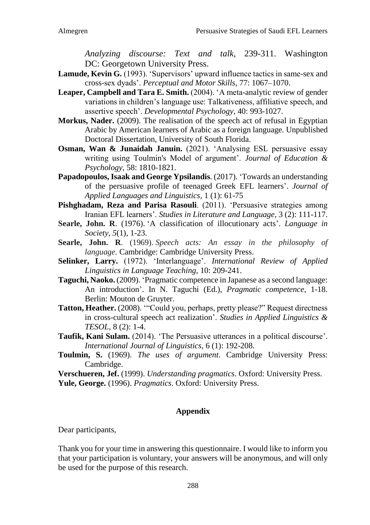*Analyzing discourse: Text and talk,* 239-311. Washington DC: Georgetown University Press.

- Lamude, Kevin G. (1993). 'Supervisors' upward influence tactics in same-sex and cross-sex dyads'. *Perceptual and Motor Skills*, 77: 1067–1070.
- **Leaper, Campbell and Tara E. Smith.** (2004). 'A meta-analytic review of gender variations in children's language use: Talkativeness, affiliative speech, and assertive speech'. *Developmental Psychology*, 40: 993-1027.
- **Morkus, Nader.** (2009). The realisation of the speech act of refusal in Egyptian Arabic by American learners of Arabic as a foreign language*.* Unpublished Doctoral Dissertation, University of South Florida.
- **Osman, Wan & Junaidah Januin.** (2021). 'Analysing ESL persuasive essay writing using Toulmin's Model of argument'. *Journal of Education & Psychology*, 58: 1810-1821.
- **Papadopoulos, Isaak and George Ypsilandis**. (2017). 'Towards an understanding of the persuasive profile of teenaged Greek EFL learners'. *Journal of Applied Languages and Linguistics*, 1 (1): 61-75
- **Pishghadam, Reza and Parisa Rasouli**. (2011). 'Persuasive strategies among Iranian EFL learners'. *Studies in Literature and Language,* 3 (2): 111-117.
- **Searle, John. R**. (1976). 'A classification of illocutionary acts'. *Language in Society, 5*(1)*,* 1-23.
- **Searle, John. R**. (1969). *Speech acts: An essay in the philosophy of language.* Cambridge: Cambridge University Press.
- **Selinker, Larry.** (1972). 'Interlanguage'. *International Review of Applied Linguistics in Language Teaching*, 10: 209-241.
- **Taguchi, Naoko.** (2009). 'Pragmatic competence in Japanese as a second language: An introduction'. In N. Taguchi (Ed.), *Pragmatic competence*, 1-18. Berlin: Mouton de Gruyter.
- **Tatton, Heather.** (2008). '"Could you, perhaps, pretty please?" Request directness in cross-cultural speech act realization'. *Studies in Applied Linguistics & TESOL*, 8 (2): 1-4.
- **Taufik, Kani Sulam.** (2014). 'The Persuasive utterances in a political discourse'. *International Journal of Linguistics*, 6 (1): 192-208.
- **Toulmin, S.** (1969). *The uses of argument*. Cambridge University Press: Cambridge.

**Verschueren, Jef.** (1999). *Understanding pragmatics*. Oxford: University Press.

**Yule, George.** (1996). *Pragmatics*. Oxford: University Press.

## **Appendix**

Dear participants,

Thank you for your time in answering this questionnaire. I would like to inform you that your participation is voluntary, your answers will be anonymous, and will only be used for the purpose of this research.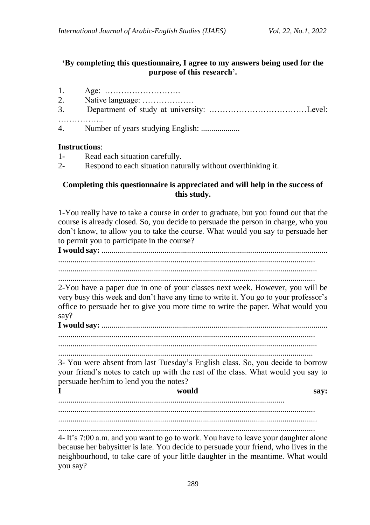## **'By completing this questionnaire, I agree to my answers being used for the purpose of this research'.**

- 1. Age: ……………………….
- 2. Native language: ……………….
- 3. Department of study at university: ………………………………Level: ………………
- 4. Number of years studying English: ...................

## **Instructions**:

- 1- Read each situation carefully.
- 2- Respond to each situation naturally without overthinking it.

## **Completing this questionnaire is appreciated and will help in the success of this study.**

1-You really have to take a course in order to graduate, but you found out that the course is already closed. So, you decide to persuade the person in charge, who you don't know, to allow you to take the course. What would you say to persuade her to permit you to participate in the course?

**I would say:** ............................................................................................................... ..............................................................................................................................

...............................................................................................................................

..............................................................................................................................

2-You have a paper due in one of your classes next week. However, you will be very busy this week and don't have any time to write it. You go to your professor's office to persuade her to give you more time to write the paper. What would you say?

**I would say:** ............................................................................................................... ..............................................................................................................................

...............................................................................................................................

.............................................................................................................................

3- You were absent from last Tuesday's English class. So, you decide to borrow your friend's notes to catch up with the rest of the class. What would you say to persuade her/him to lend you the notes?

**I would say:** ............................................................................................................... .............................................................................................................................. ...............................................................................................................................

..............................................................................................................................

4- It's 7:00 a.m. and you want to go to work. You have to leave your daughter alone because her babysitter is late. You decide to persuade your friend, who lives in the neighbourhood, to take care of your little daughter in the meantime. What would you say?